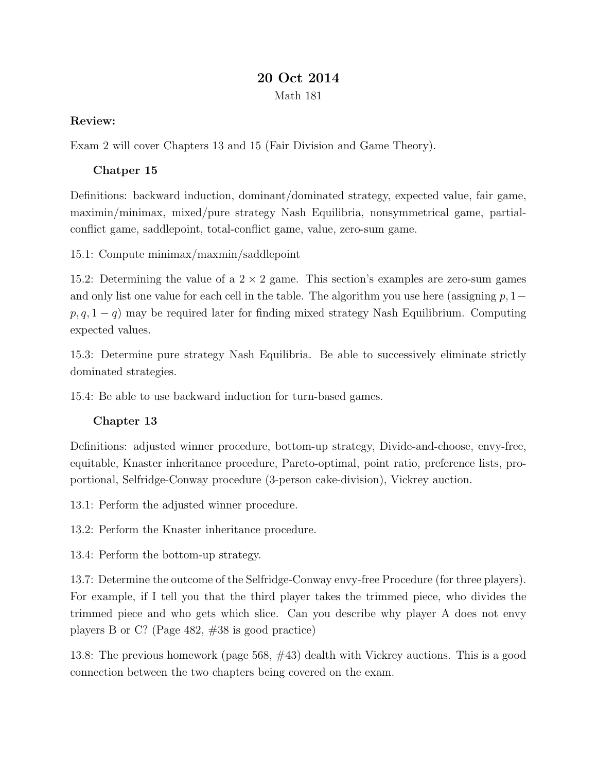## 20 Oct 2014

```
Math 181
```
## Review:

Exam 2 will cover Chapters 13 and 15 (Fair Division and Game Theory).

## Chatper 15

Definitions: backward induction, dominant/dominated strategy, expected value, fair game, maximin/minimax, mixed/pure strategy Nash Equilibria, nonsymmetrical game, partialconflict game, saddlepoint, total-conflict game, value, zero-sum game.

15.1: Compute minimax/maxmin/saddlepoint

15.2: Determining the value of a  $2 \times 2$  game. This section's examples are zero-sum games and only list one value for each cell in the table. The algorithm you use here (assigning  $p, 1$  $p, q, 1 - q$  may be required later for finding mixed strategy Nash Equilibrium. Computing expected values.

15.3: Determine pure strategy Nash Equilibria. Be able to successively eliminate strictly dominated strategies.

15.4: Be able to use backward induction for turn-based games.

## Chapter 13

Definitions: adjusted winner procedure, bottom-up strategy, Divide-and-choose, envy-free, equitable, Knaster inheritance procedure, Pareto-optimal, point ratio, preference lists, proportional, Selfridge-Conway procedure (3-person cake-division), Vickrey auction.

13.1: Perform the adjusted winner procedure.

13.2: Perform the Knaster inheritance procedure.

13.4: Perform the bottom-up strategy.

13.7: Determine the outcome of the Selfridge-Conway envy-free Procedure (for three players). For example, if I tell you that the third player takes the trimmed piece, who divides the trimmed piece and who gets which slice. Can you describe why player A does not envy players B or C? (Page 482, #38 is good practice)

13.8: The previous homework (page 568, #43) dealth with Vickrey auctions. This is a good connection between the two chapters being covered on the exam.